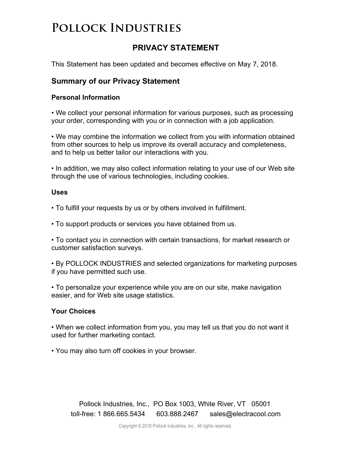## **PRIVACY STATEMENT**

This Statement has been updated and becomes effective on May 7, 2018.

### **Summary of our Privacy Statement**

#### **Personal Information**

• We collect your personal information for various purposes, such as processing your order, corresponding with you or in connection with a job application.

• We may combine the information we collect from you with information obtained from other sources to help us improve its overall accuracy and completeness, and to help us better tailor our interactions with you.

• In addition, we may also collect information relating to your use of our Web site through the use of various technologies, including cookies.

#### **Uses**

• To fulfill your requests by us or by others involved in fulfillment.

• To support products or services you have obtained from us.

• To contact you in connection with certain transactions, for market research or customer satisfaction surveys.

• By POLLOCK INDUSTRIES and selected organizations for marketing purposes if you have permitted such use.

• To personalize your experience while you are on our site, make navigation easier, and for Web site usage statistics.

### **Your Choices**

• When we collect information from you, you may tell us that you do not want it used for further marketing contact.

• You may also turn off cookies in your browser.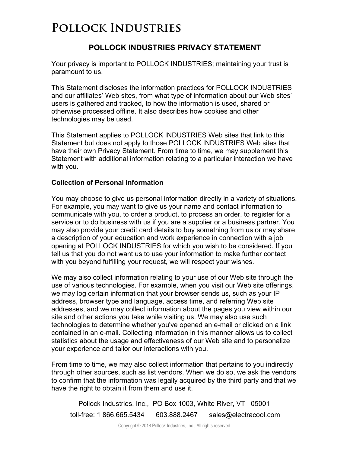## **POLLOCK INDUSTRIES PRIVACY STATEMENT**

Your privacy is important to POLLOCK INDUSTRIES; maintaining your trust is paramount to us.

This Statement discloses the information practices for POLLOCK INDUSTRIES and our affiliates' Web sites, from what type of information about our Web sites' users is gathered and tracked, to how the information is used, shared or otherwise processed offline. It also describes how cookies and other technologies may be used.

This Statement applies to POLLOCK INDUSTRIES Web sites that link to this Statement but does not apply to those POLLOCK INDUSTRIES Web sites that have their own Privacy Statement. From time to time, we may supplement this Statement with additional information relating to a particular interaction we have with you.

#### **Collection of Personal Information**

You may choose to give us personal information directly in a variety of situations. For example, you may want to give us your name and contact information to communicate with you, to order a product, to process an order, to register for a service or to do business with us if you are a supplier or a business partner. You may also provide your credit card details to buy something from us or may share a description of your education and work experience in connection with a job opening at POLLOCK INDUSTRIES for which you wish to be considered. If you tell us that you do not want us to use your information to make further contact with you beyond fulfilling your request, we will respect your wishes.

We may also collect information relating to your use of our Web site through the use of various technologies. For example, when you visit our Web site offerings, we may log certain information that your browser sends us, such as your IP address, browser type and language, access time, and referring Web site addresses, and we may collect information about the pages you view within our site and other actions you take while visiting us. We may also use such technologies to determine whether you've opened an e-mail or clicked on a link contained in an e-mail. Collecting information in this manner allows us to collect statistics about the usage and effectiveness of our Web site and to personalize your experience and tailor our interactions with you.

From time to time, we may also collect information that pertains to you indirectly through other sources, such as list vendors. When we do so, we ask the vendors to confirm that the information was legally acquired by the third party and that we have the right to obtain it from them and use it.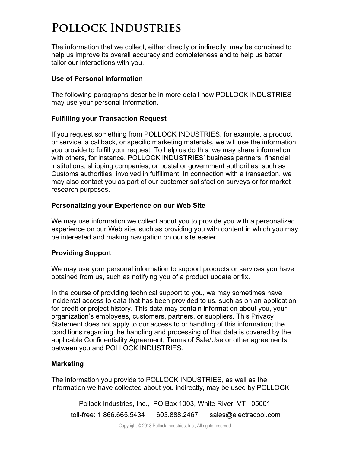The information that we collect, either directly or indirectly, may be combined to help us improve its overall accuracy and completeness and to help us better tailor our interactions with you.

#### **Use of Personal Information**

The following paragraphs describe in more detail how POLLOCK INDUSTRIES may use your personal information.

#### **Fulfilling your Transaction Request**

If you request something from POLLOCK INDUSTRIES, for example, a product or service, a callback, or specific marketing materials, we will use the information you provide to fulfill your request. To help us do this, we may share information with others, for instance, POLLOCK INDUSTRIES' business partners, financial institutions, shipping companies, or postal or government authorities, such as Customs authorities, involved in fulfillment. In connection with a transaction, we may also contact you as part of our customer satisfaction surveys or for market research purposes.

### **Personalizing your Experience on our Web Site**

We may use information we collect about you to provide you with a personalized experience on our Web site, such as providing you with content in which you may be interested and making navigation on our site easier.

### **Providing Support**

We may use your personal information to support products or services you have obtained from us, such as notifying you of a product update or fix.

In the course of providing technical support to you, we may sometimes have incidental access to data that has been provided to us, such as on an application for credit or project history. This data may contain information about you, your organization's employees, customers, partners, or suppliers. This Privacy Statement does not apply to our access to or handling of this information; the conditions regarding the handling and processing of that data is covered by the applicable Confidentiality Agreement, Terms of Sale/Use or other agreements between you and POLLOCK INDUSTRIES.

### **Marketing**

The information you provide to POLLOCK INDUSTRIES, as well as the information we have collected about you indirectly, may be used by POLLOCK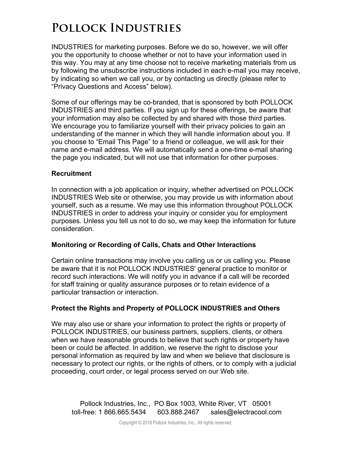INDUSTRIES for marketing purposes. Before we do so, however, we will offer you the opportunity to choose whether or not to have your information used in this way. You may at any time choose not to receive marketing materials from us by following the unsubscribe instructions included in each e-mail you may receive, by indicating so when we call you, or by contacting us directly (please refer to "Privacy Questions and Access" below).

Some of our offerings may be co-branded, that is sponsored by both POLLOCK INDUSTRIES and third parties. If you sign up for these offerings, be aware that your information may also be collected by and shared with those third parties. We encourage you to familiarize yourself with their privacy policies to gain an understanding of the manner in which they will handle information about you. If you choose to "Email This Page" to a friend or colleague, we will ask for their name and e-mail address. We will automatically send a one-time e-mail sharing the page you indicated, but will not use that information for other purposes.

#### **Recruitment**

In connection with a job application or inquiry, whether advertised on POLLOCK INDUSTRIES Web site or otherwise, you may provide us with information about yourself, such as a resume. We may use this information throughout POLLOCK INDUSTRIES in order to address your inquiry or consider you for employment purposes. Unless you tell us not to do so, we may keep the information for future consideration.

#### **Monitoring or Recording of Calls, Chats and Other Interactions**

Certain online transactions may involve you calling us or us calling you. Please be aware that it is not POLLOCK INDUSTRIES' general practice to monitor or record such interactions. We will notify you in advance if a call will be recorded for staff training or quality assurance purposes or to retain evidence of a particular transaction or interaction.

### **Protect the Rights and Property of POLLOCK INDUSTRIES and Others**

We may also use or share your information to protect the rights or property of POLLOCK INDUSTRIES, our business partners, suppliers, clients, or others when we have reasonable grounds to believe that such rights or property have been or could be affected. In addition, we reserve the right to disclose your personal information as required by law and when we believe that disclosure is necessary to protect our rights, or the rights of others, or to comply with a judicial proceeding, court order, or legal process served on our Web site.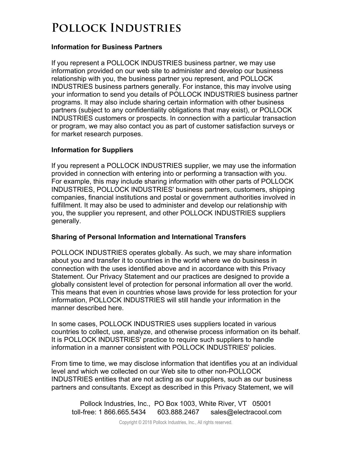### **Information for Business Partners**

If you represent a POLLOCK INDUSTRIES business partner, we may use information provided on our web site to administer and develop our business relationship with you, the business partner you represent, and POLLOCK INDUSTRIES business partners generally. For instance, this may involve using your information to send you details of POLLOCK INDUSTRIES business partner programs. It may also include sharing certain information with other business partners (subject to any confidentiality obligations that may exist), or POLLOCK INDUSTRIES customers or prospects. In connection with a particular transaction or program, we may also contact you as part of customer satisfaction surveys or for market research purposes.

#### **Information for Suppliers**

If you represent a POLLOCK INDUSTRIES supplier, we may use the information provided in connection with entering into or performing a transaction with you. For example, this may include sharing information with other parts of POLLOCK INDUSTRIES, POLLOCK INDUSTRIES' business partners, customers, shipping companies, financial institutions and postal or government authorities involved in fulfillment. It may also be used to administer and develop our relationship with you, the supplier you represent, and other POLLOCK INDUSTRIES suppliers generally.

#### **Sharing of Personal Information and International Transfers**

POLLOCK INDUSTRIES operates globally. As such, we may share information about you and transfer it to countries in the world where we do business in connection with the uses identified above and in accordance with this Privacy Statement. Our Privacy Statement and our practices are designed to provide a globally consistent level of protection for personal information all over the world. This means that even in countries whose laws provide for less protection for your information, POLLOCK INDUSTRIES will still handle your information in the manner described here.

In some cases, POLLOCK INDUSTRIES uses suppliers located in various countries to collect, use, analyze, and otherwise process information on its behalf. It is POLLOCK INDUSTRIES' practice to require such suppliers to handle information in a manner consistent with POLLOCK INDUSTRIES' policies.

From time to time, we may disclose information that identifies you at an individual level and which we collected on our Web site to other non-POLLOCK INDUSTRIES entities that are not acting as our suppliers, such as our business partners and consultants. Except as described in this Privacy Statement, we will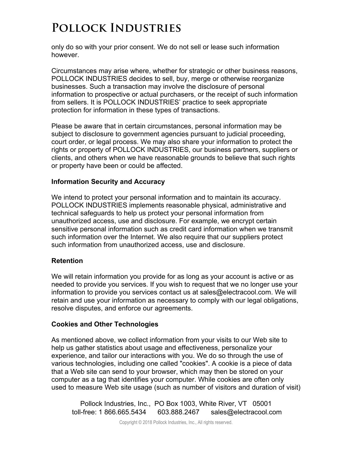only do so with your prior consent. We do not sell or lease such information however.

Circumstances may arise where, whether for strategic or other business reasons, POLLOCK INDUSTRIES decides to sell, buy, merge or otherwise reorganize businesses. Such a transaction may involve the disclosure of personal information to prospective or actual purchasers, or the receipt of such information from sellers. It is POLLOCK INDUSTRIES' practice to seek appropriate protection for information in these types of transactions.

Please be aware that in certain circumstances, personal information may be subject to disclosure to government agencies pursuant to judicial proceeding, court order, or legal process. We may also share your information to protect the rights or property of POLLOCK INDUSTRIES, our business partners, suppliers or clients, and others when we have reasonable grounds to believe that such rights or property have been or could be affected.

#### **Information Security and Accuracy**

We intend to protect your personal information and to maintain its accuracy. POLLOCK INDUSTRIES implements reasonable physical, administrative and technical safeguards to help us protect your personal information from unauthorized access, use and disclosure. For example, we encrypt certain sensitive personal information such as credit card information when we transmit such information over the Internet. We also require that our suppliers protect such information from unauthorized access, use and disclosure.

#### **Retention**

We will retain information you provide for as long as your account is active or as needed to provide you services. If you wish to request that we no longer use your information to provide you services contact us at sales@electracool.com. We will retain and use your information as necessary to comply with our legal obligations, resolve disputes, and enforce our agreements.

#### **Cookies and Other Technologies**

As mentioned above, we collect information from your visits to our Web site to help us gather statistics about usage and effectiveness, personalize your experience, and tailor our interactions with you. We do so through the use of various technologies, including one called "cookies". A cookie is a piece of data that a Web site can send to your browser, which may then be stored on your computer as a tag that identifies your computer. While cookies are often only used to measure Web site usage (such as number of visitors and duration of visit)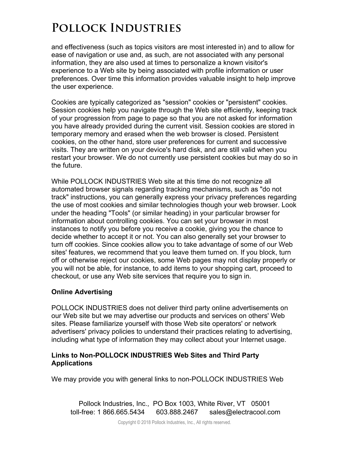and effectiveness (such as topics visitors are most interested in) and to allow for ease of navigation or use and, as such, are not associated with any personal information, they are also used at times to personalize a known visitor's experience to a Web site by being associated with profile information or user preferences. Over time this information provides valuable insight to help improve the user experience.

Cookies are typically categorized as "session" cookies or "persistent" cookies. Session cookies help you navigate through the Web site efficiently, keeping track of your progression from page to page so that you are not asked for information you have already provided during the current visit. Session cookies are stored in temporary memory and erased when the web browser is closed. Persistent cookies, on the other hand, store user preferences for current and successive visits. They are written on your device's hard disk, and are still valid when you restart your browser. We do not currently use persistent cookies but may do so in the future.

While POLLOCK INDUSTRIES Web site at this time do not recognize all automated browser signals regarding tracking mechanisms, such as "do not track" instructions, you can generally express your privacy preferences regarding the use of most cookies and similar technologies though your web browser. Look under the heading "Tools" (or similar heading) in your particular browser for information about controlling cookies. You can set your browser in most instances to notify you before you receive a cookie, giving you the chance to decide whether to accept it or not. You can also generally set your browser to turn off cookies. Since cookies allow you to take advantage of some of our Web sites' features, we recommend that you leave them turned on. If you block, turn off or otherwise reject our cookies, some Web pages may not display properly or you will not be able, for instance, to add items to your shopping cart, proceed to checkout, or use any Web site services that require you to sign in.

### **Online Advertising**

POLLOCK INDUSTRIES does not deliver third party online advertisements on our Web site but we may advertise our products and services on others' Web sites. Please familiarize yourself with those Web site operators' or network advertisers' privacy policies to understand their practices relating to advertising, including what type of information they may collect about your Internet usage.

#### **Links to Non-POLLOCK INDUSTRIES Web Sites and Third Party Applications**

We may provide you with general links to non-POLLOCK INDUSTRIES Web